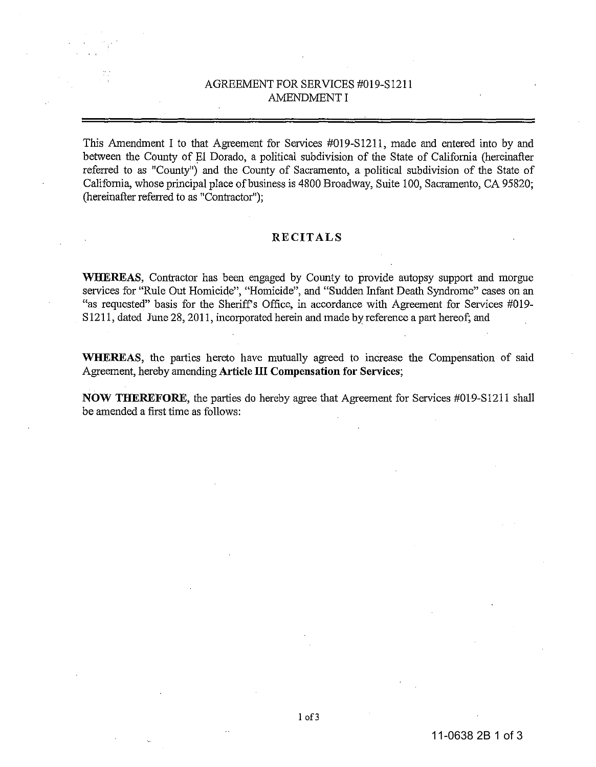# AGREEMENT FOR SERVICES #019-S1211 AMENDMENT I

This Amendment I to that Agreement for Services #019-S1211, made and entered into by and between the County of El Dorado, a political subdivision of the State of California (hereinafter referred to as "County") and the County of Sacramento, a political subdivision of the State of California, whose principal place of business is 4800 Broadway, Suite 100, Sacramento, CA 95820; (hereinafter referred to as "Contractor");

### **RECITALS**

**WHEREAS,** Contractor has been engaged by County to provide autopsy support and morgue services for "Rule Out Homicide", "Homicide", and "Sudden Infant Death Syndrome" cases on an "as requested" basis for the Sheriff's Office, in accordance with Agreement for Services #019-SI211, dated June 28,2011, incorporated herein and made by reference a part hereof; and

**WHEREAS,** the parties hereto have mutually agreed to increase the Compensation of said Agreement, hereby amending **Article III Compensation for Services;** 

**NOW THEREFORE,** the parties do hereby agree that Agreement for Services #019-S1211 shall be amended a first time as follows: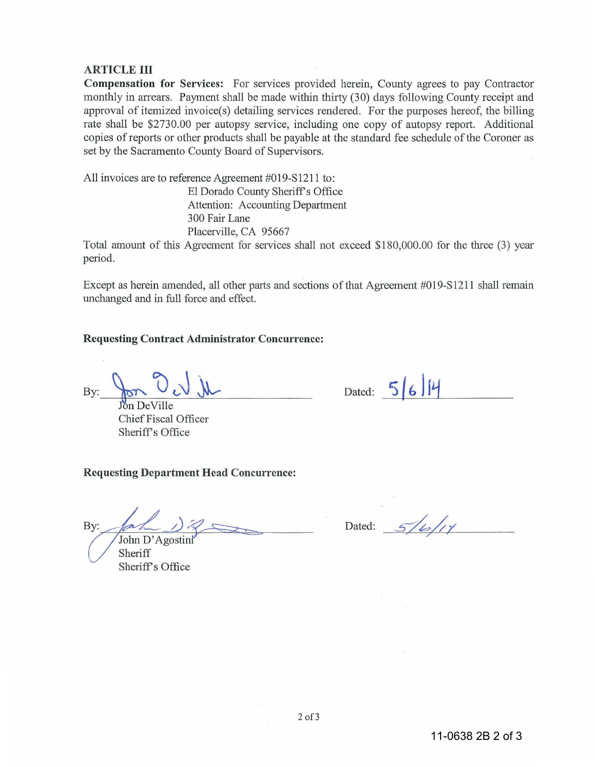### ARTICLE III

Compensation for Services: For services provided herein, County agrees to pay Contractor monthly in arrears. Payment shall be made within thirty (30) days following County receipt and approval of itemized invoice(s) detailing services rendered. For the purposes hereof, the billing rate shall be \$2730.00 per autopsy service, induding one copy of autopsy report. Additional copies of reports or other products shall be payable at the standard fee schedule of the Coroner as set by the Sacramento County Board of Supervisors.

All invoices are to reference Agreement #019-S1211 to:

El Dorado County Sheriff's Office Attention: Accounting Department 300 Fair Lane Placerville, CA 95667

Total amount of this Agreement for services shall not exceed \$180,000.00 for the three (3) year period.

Except as herein amended, all other parts and sections of that Agreement #019-S1211 shall remain unchanged and in full force and effect.

Requesting Contract Administrator Concurrence:

 $By: \frac{\sqrt{8N}}{N}$  DeVille

Dated:  $5/6/4$ 

Chief Fiscal Officer Sheriff's Office

#### Requesting Department Head Concurrence:

By:

John D'Agostini Sheriff Sheriff's Office

Dated:  $5/4/14$